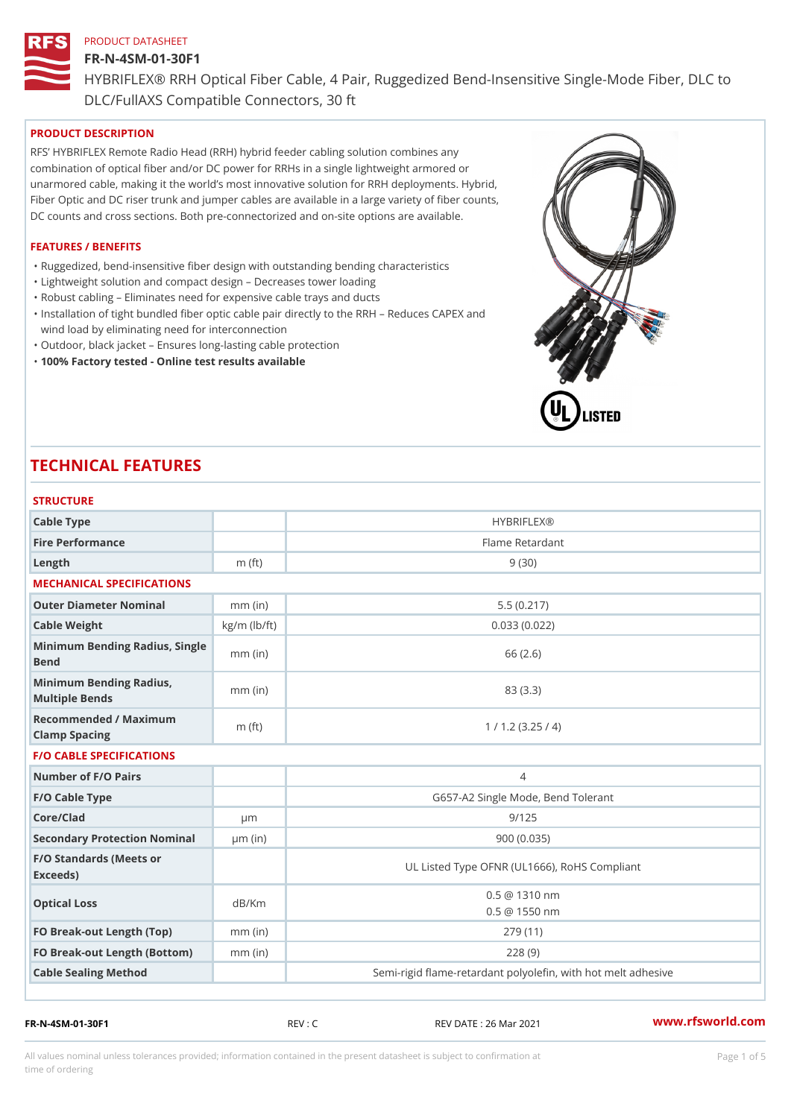#### FR-N-4SM-01-30F1

HYBRIFLEX® RRH Optical Fiber Cable, 4 Pair, Ruggedized Bend-Insens DLC/FullAXS Compatible Connectors, 30 ft

## PRODUCT DESCRIPTION

RFS HYBRIFLEX Remote Radio Head (RRH) hybrid feeder cabling solution combines any combination of optical fiber and/or DC power for RRHs in a single lightweight armored or unarmored cable, making it the world s most innovative solution for RRH deployments. Hybrid, Fiber Optic and DC riser trunk and jumper cables are available in a large variety of fiber counts, DC counts and cross sections. Both pre-connectorized and on-site options are available.

#### FEATURES / BENEFITS

"Ruggedized, bend-insensitive fiber design with outstanding bending characteristics

- "Lightweight solution and compact design Decreases tower loading
- "Robust cabling Eliminates need for expensive cable trays and ducts
- "Installation of tight bundled fiber optic cable pair directly to the RRH Aeduces CAPEX and wind load by eliminating need for interconnection
- "Outdoor, black jacket Ensures long-lasting cable protection
- "100% Factory tested Online test results available

# TECHNICAL FEATURES

| <b>STRUCTURE</b>                                  |                    |                                                         |
|---------------------------------------------------|--------------------|---------------------------------------------------------|
| Cable Type                                        |                    | <b>HYBRIFLEX®</b>                                       |
| Fire Performance                                  |                    | Flame Retardant                                         |
| $L$ ength                                         | $m$ (ft)           | 9(30)                                                   |
| MECHANICAL SPECIFICATIONS                         |                    |                                                         |
| Outer Diameter Nominal                            | $mm$ (in)          | 5.5(0.217)                                              |
| Cable Weight                                      | $kg/m$ ( $lb/ft$ ) | 0.033(0.022)                                            |
| Minimum Bending Radius, Single<br>Bend            |                    | 66 (2.6)                                                |
| Minimum Bending Radius, mm (in)<br>Multiple Bends |                    | 83 (3.3)                                                |
| Recommended / Maximum<br>Clamp Spacing            | $m$ (ft)           | 1 / 1.2 (3.25 / 4)                                      |
| <b>F/O CABLE SPECIFICATIONS</b>                   |                    |                                                         |
| Number of F/O Pairs                               |                    | $\overline{4}$                                          |
| F/O Cable Type                                    |                    | G657-A2 Single Mode, Bend Tolerant                      |
| Core/Clad                                         | $\mu$ m            | 9/125                                                   |
| Secondary Protection Nomimal(in)                  |                    | 900 (0.035)                                             |
| F/O Standards (Meets or<br>Exceeds)               |                    | UL Listed Type OFNR (UL1666), RoHS Compliant            |
| Optical Loss                                      | dB/Km              | 0.5 @ 1310 nm<br>$0.5 \ @ \ 1550 \ nm$                  |
| FO Break-out Length (Top)mm (in)                  |                    | 279 (11)                                                |
| FO Break-out Length (Bottmomm) (in)               |                    | 228(9)                                                  |
| Cable Sealing Method                              |                    | Semi-rigid flame-retardant polyolefin, with hot melt ad |

FR-N-4SM-01-30F1 REV : C REV DATE : 26 Mar 2021 [www.](https://www.rfsworld.com)rfsworld.com

All values nominal unless tolerances provided; information contained in the present datasheet is subject to Pcapgeight Stid time of ordering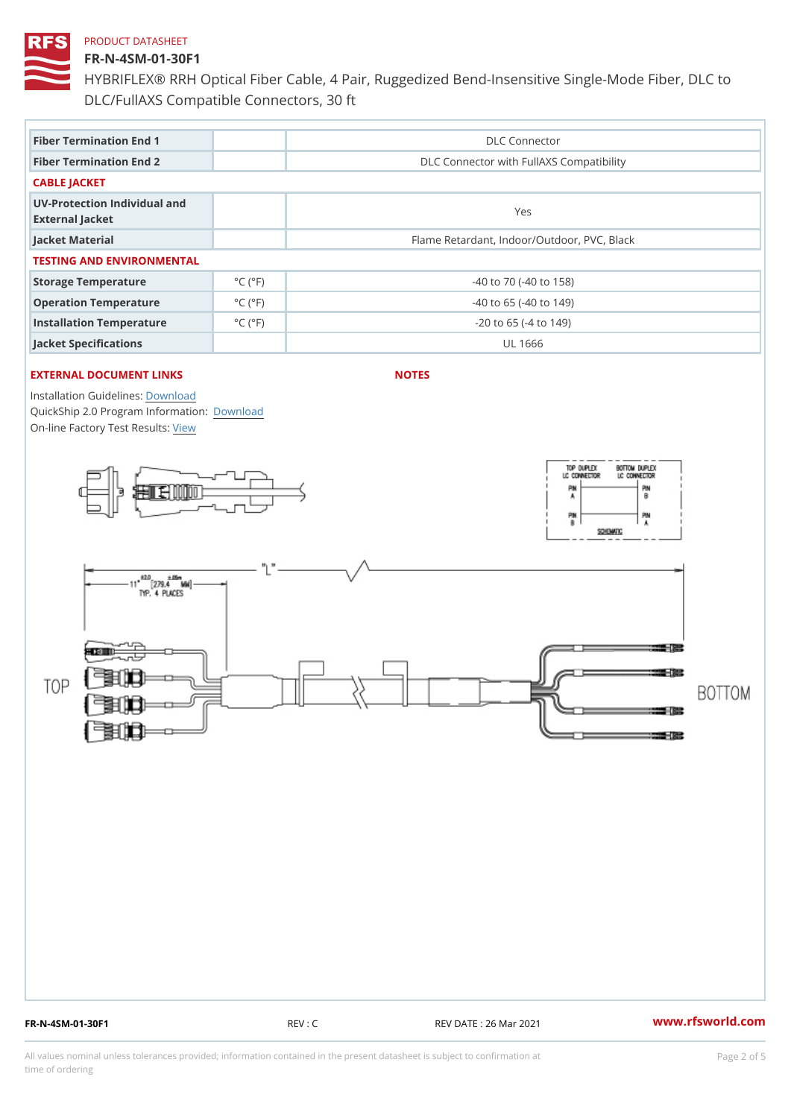#### FR-N-4SM-01-30F1

HYBRIFLEX® RRH Optical Fiber Cable, 4 Pair, Ruggedized Bend-Insens DLC/FullAXS Compatible Connectors, 30 ft

| Fiber Termination End 1                         |                             | DLC Connector                               |  |  |  |  |
|-------------------------------------------------|-----------------------------|---------------------------------------------|--|--|--|--|
| Fiber Termination End 2                         |                             | DLC Connector with FullAXS Compatibility    |  |  |  |  |
| CABLE JACKET                                    |                             |                                             |  |  |  |  |
| UV-Protection Individual and<br>External Jacket |                             | Yes                                         |  |  |  |  |
| Jacket Material                                 |                             | Flame Retardant, Indoor/Outdoor, PVC, Black |  |  |  |  |
| TESTING AND ENVIRONMENTAL                       |                             |                                             |  |  |  |  |
| Storage Temperature                             | $^{\circ}$ C ( $^{\circ}$ F | $-40$ to $70$ ( $-40$ to $158$ )            |  |  |  |  |
| Operation Temperature                           | $^{\circ}$ C ( $^{\circ}$ F | $-40$ to 65 ( $-40$ to 149)                 |  |  |  |  |
| Installation Temperature                        | $^{\circ}$ C ( $^{\circ}$ F | $-20$ to 65 ( $-4$ to 149)                  |  |  |  |  |
| Jacket Specifications                           |                             | UL 1666                                     |  |  |  |  |

## EXTERNAL DOCUMENT LINKS

NOTES

Installation Guidelwinessad QuickShip 2.0 Program [Informa](http://www.rfsworld.com/images/hybriflex/quickship_program_2.pdf)tion: On-line Factory Te[s](https://www.rfsworld.com/pictures/userfiles/programs/AAST Latest Version.zip)teResults:

FR-N-4SM-01-30F1 REV : C REV DATE : 26 Mar 2021 [www.](https://www.rfsworld.com)rfsworld.com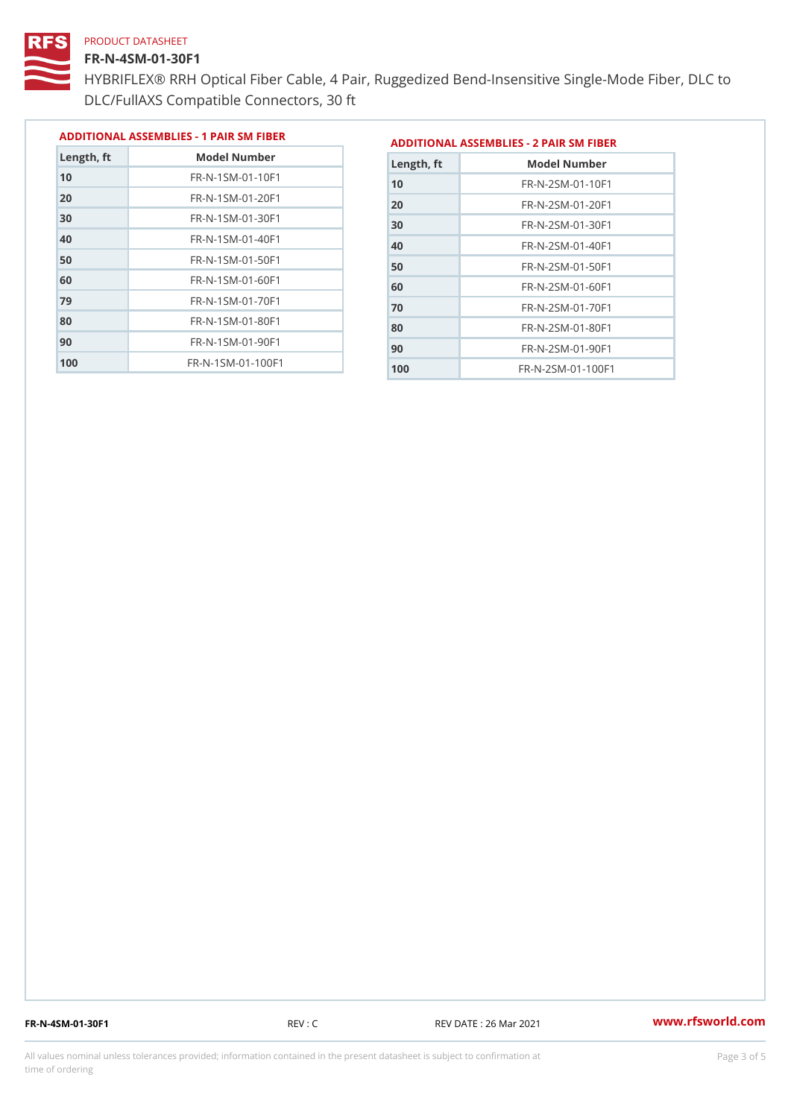#### FR-N-4SM-01-30F1

 FR-N-1SM-01-70F1 FR-N-1SM-01-80F1 FR-N-1SM-01-90F1 FR-N-1SM-01-100F1

HYBRIFLEX® RRH Optical Fiber Cable, 4 Pair, Ruggedized Bend-Insens DLC/FullAXS Compatible Connectors, 30 ft

> FR-N-2SM-01-70F1 FR-N-2SM-01-80F1 FR-N-2SM-01-90F1 FR-N-2SM-01-100F1

|               |                                |               | ADDITIONAL ASSEMBLIES - 1 PAIR SM FIBERDDITIONAL ASSEMBLIES - 2 PAIR SM FIBER |
|---------------|--------------------------------|---------------|-------------------------------------------------------------------------------|
| $L$ ength, ft | Model Number                   | $L$ ength, ft | Model Number                                                                  |
| 10            | $FR - N - 1 SM - 01 - 10F1$    | 10            | $FR - N - 2 SM - 01 - 10 F1$                                                  |
| 20            | $FR - N - 1 SM - 01 - 20 F1$   | 20            | $FR - N - 2 SM - 01 - 20 F1$                                                  |
| 30            | FR-N-1SM-01-30F1               | 30            | $FR - N - 2 SM - 01 - 30 F1$                                                  |
| 40            | $FR - N - 1 SM - 01 - 40 F1$   | 4.0           | $FR - N - 2 SM - 01 - 40 F1$                                                  |
| 50            | $FR - N - 1$ S M - 01 - 50 F 1 | 50            | $FR - N - 2 SM - 01 - 50 F1$                                                  |
| 60            | $FR - N - 1 SM - 01 - 60 F1$   | 60            | $FR - N - 2 SM - 01 - 60 F1$                                                  |

FR-N-4SM-01-30F1 REV : C REV DATE : 26 Mar 2021 [www.](https://www.rfsworld.com)rfsworld.com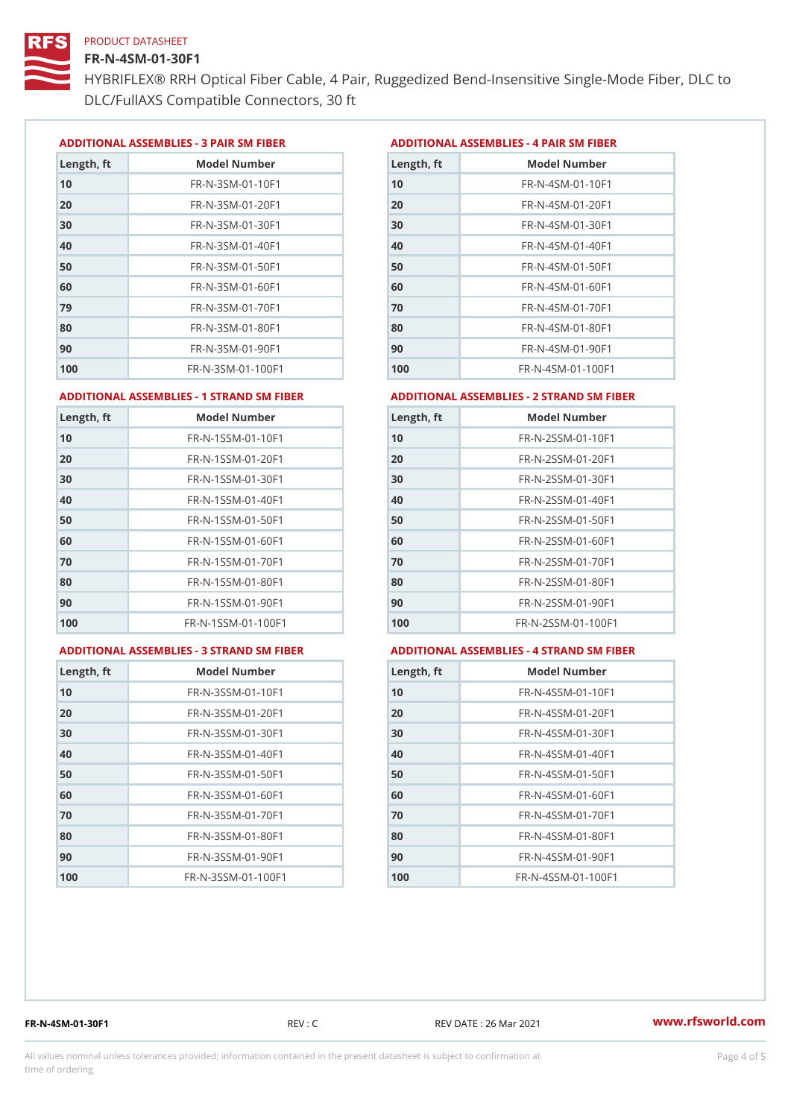#### FR-N-4SM-01-30F1

HYBRIFLEX® RRH Optical Fiber Cable, 4 Pair, Ruggedized Bend-Insens DLC/FullAXS Compatible Connectors, 30 ft

ADDITIONAL ASSEMBLIES - 3 PAIR SM FIBERED DITIONAL ASSEMBLIES - 4 PAIR SM FIBER

| Length, ft | Model Number                  |
|------------|-------------------------------|
| 10         | $FR - N - 3 S M - 01 - 10 F1$ |
| 20         | FR-N-3SM-01-20F1              |
| 30         | FR-N-3SM-01-30F1              |
| 40         | FR-N-3SM-01-40F1              |
| 50         | $FR - N - 3 S M - 01 - 50 F1$ |
| 60         | $FR - N - 3 S M - 01 - 60 F1$ |
| 79         | $FR - N - 3 S M - 01 - 70 F1$ |
| 80         | $FR - N - 3 S M - 01 - 80 F1$ |
| 90         | FR-N-3SM-01-90F1              |
| 100        | FR-N-3SM-01-100F1             |

| Length, ft | Model Number                   |
|------------|--------------------------------|
| 10         | $FR - N - 4$ S M - 01 - 10 F 1 |
| 20         | FR-N-4SM-01-20F1               |
| 30         | $FR - N - 4 SM - 01 - 30 F1$   |
| 40         | FR-N-4SM-01-40F1               |
| 50         | FR-N-4SM-01-50F1               |
| 60         | $FR - N - 4 S M - 01 - 60 F1$  |
| 70         | FR-N-4SM-01-70F1               |
| 80         | $FR - N - 4 SM - 01 - 80 F1$   |
| 90         | FR-N-4SM-01-90F1               |
| 100        | FR-N-4SM-01-100F1              |

#### ADDITIONAL ASSEMBLIES - 1 STRAND SM FABSDRTIONAL ASSEMBLIES - 2 STRAND SM FIBER

| FR-N-1SSM-01-10F1<br>10<br>FR-N-1SSM-01-20F1<br>20<br>FR-N-1SSM-01-30F1<br>30<br>$FR - N - 1$ S S M - 01 - 40 F 1<br>40<br>$FR - N - 1$ S S M - 01 - 50 F 1<br>50<br>FR-N-1SSM-01-60F1<br>60<br>$FR - N - 1$ S S M - 01 - 70 F 1<br>70<br>FR-N-1SSM-01-80F1<br>80<br>$FR - N - 1$ S S M - 01 - 90 F 1<br>90<br>FR-N-1SSM-01-100F1<br>100 | Length, ft | Model Number | Length, ft | Model Number                     |
|------------------------------------------------------------------------------------------------------------------------------------------------------------------------------------------------------------------------------------------------------------------------------------------------------------------------------------------|------------|--------------|------------|----------------------------------|
| 100                                                                                                                                                                                                                                                                                                                                      | 10         |              |            | FR-N-2SSM-01-10F1                |
| 30<br>50<br>60<br>80<br>90                                                                                                                                                                                                                                                                                                               | 20         |              |            | $FR - N - 2SSM - 01 - 20F1$      |
| 40<br>70                                                                                                                                                                                                                                                                                                                                 |            |              |            | $FR - N - 2SSM - 01 - 30F1$      |
|                                                                                                                                                                                                                                                                                                                                          |            |              |            | $FR - N - 2$ S S M - 01 - 40 F 1 |
|                                                                                                                                                                                                                                                                                                                                          |            |              |            | FR-N-2SSM-01-50F1                |
|                                                                                                                                                                                                                                                                                                                                          |            |              |            | $FR - N - 2SSM - 01 - 60F1$      |
|                                                                                                                                                                                                                                                                                                                                          |            |              |            | $FR - N - 2SSM - 01 - 70F1$      |
|                                                                                                                                                                                                                                                                                                                                          |            |              |            | FR-N-2SSM-01-80F1                |
|                                                                                                                                                                                                                                                                                                                                          |            |              |            | $FR - N - 2SSM - 01 - 90F1$      |
|                                                                                                                                                                                                                                                                                                                                          |            |              |            | FR-N-2SSM-01-100F1               |

#### ADDITIONAL ASSEMBLIES - 3 STRAND SM FABSDRTIONAL ASSEMBLIES - 4 STRAND SM FIBER

| L ASSEMBLIES - 4 STRAND SM FII |  |  |  |
|--------------------------------|--|--|--|
|                                |  |  |  |

| Length, ft | Model Number                    |
|------------|---------------------------------|
| 10         | $FR - N - 3 S S M - 01 - 10 F1$ |
| 20         | FR-N-3SSM-01-20F1               |
| 30         | FR-N-3SSM-01-30F1               |
| 40         | FR-N-3SSM-01-40F1               |
| 50         | $FR - N - 3 S S M - 01 - 50 F1$ |
| 60         | FR-N-3SSM-01-60F1               |
| 70         | FR-N-3SSM-01-70F1               |
| 80         | FR-N-3SSM-01-80F1               |
| 90         | FR-N-3SSM-01-90F1               |
| 100        | FR-N-3SSM-01-100F1              |

| Length, ft | Model Number                     |
|------------|----------------------------------|
| 10         | $FR - N - 4$ S S M - 01 - 10 F 1 |
| 20         | $FR - N - 4 S S M - 01 - 20 F1$  |
| 30         | $FR - N - 4 S S M - 01 - 30 F1$  |
| 40         | FR-N-4SSM-01-40F1                |
| 50         | $FR - N - 4$ S S M - 01 - 50 F 1 |
| 60         | FR-N-4SSM-01-60F1                |
| 70         | $FR - N - 4$ S S M - 01 - 70 F 1 |
| 80         | $FR - N - 4$ S S M - 01 - 80 F 1 |
| 90         | FR-N-4SSM-01-90F1                |
| 100        | FR-N-4SSM-01-100F1               |

FR-N-4SM-01-30F1 REV : C REV DATE : 26 Mar 2021 [www.](https://www.rfsworld.com)rfsworld.com

All values nominal unless tolerances provided; information contained in the present datasheet is subject to Pcapgnéig4m ssti time of ordering